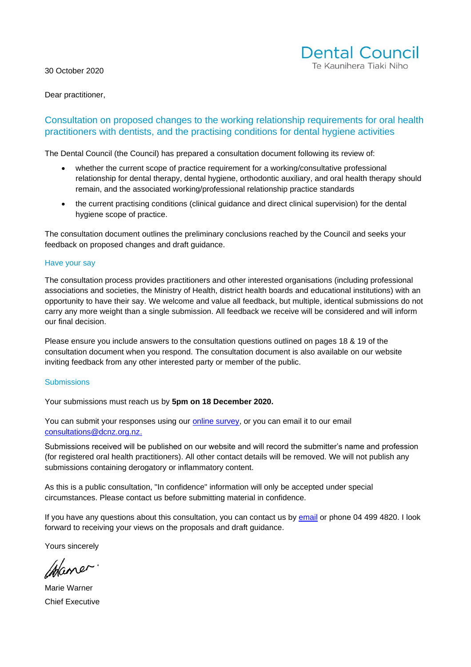30 October 2020



Dear practitioner,

### Consultation on proposed changes to the working relationship requirements for oral health practitioners with dentists, and the practising conditions for dental hygiene activities

The Dental Council (the Council) has prepared a consultation document following its review of:

- whether the current scope of practice requirement for a working/consultative professional relationship for dental therapy, dental hygiene, orthodontic auxiliary, and oral health therapy should remain, and the associated working/professional relationship practice standards
- the current practising conditions (clinical guidance and direct clinical supervision) for the dental hygiene scope of practice.

The consultation document outlines the preliminary conclusions reached by the Council and seeks your feedback on proposed changes and draft guidance.

#### Have your say

The consultation process provides practitioners and other interested organisations (including professional associations and societies, the Ministry of Health, district health boards and educational institutions) with an opportunity to have their say. We welcome and value all feedback, but multiple, identical submissions do not carry any more weight than a single submission. All feedback we receive will be considered and will inform our final decision.

Please ensure you include answers to the consultation questions outlined on pages 18 & 19 of the consultation document when you respond. The consultation document is also available on our website inviting feedback from any other interested party or member of the public.

#### **Submissions**

Your submissions must reach us by **5pm on 18 December 2020.**

You can submit your responses using our **online survey**, or you can email it to our email [consultations@dcnz.org.nz.](mailto:consultations@dcnz.org.nz)

Submissions received will be published on our website and will record the submitter's name and profession (for registered oral health practitioners). All other contact details will be removed. We will not publish any submissions containing derogatory or inflammatory content.

As this is a public consultation, "In confidence" information will only be accepted under special circumstances. Please contact us before submitting material in confidence.

If you have any questions about this consultation, you can contact us by [email](mailto:consultations@dcnz.org,nz) or phone 04 499 4820. I look forward to receiving your views on the proposals and draft guidance.

Yours sincerely

Maner

Marie Warner Chief Executive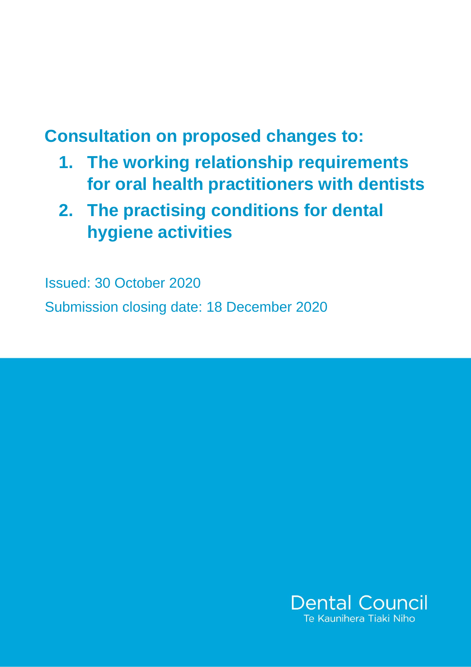# **Consultation on proposed changes to:**

- **1. The working relationship requirements for oral health practitioners with dentists**
- **2. The practising conditions for dental hygiene activities**

Issued: 30 October 2020 Submission closing date: 18 December 2020

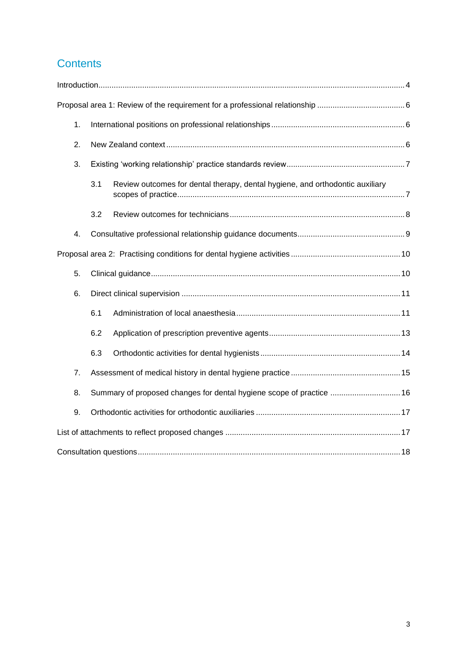# **Contents**

| 1. |                                                                      |                                                                               |
|----|----------------------------------------------------------------------|-------------------------------------------------------------------------------|
| 2. |                                                                      |                                                                               |
| 3. |                                                                      |                                                                               |
|    | 3.1                                                                  | Review outcomes for dental therapy, dental hygiene, and orthodontic auxiliary |
|    | 3.2                                                                  |                                                                               |
| 4. |                                                                      |                                                                               |
|    |                                                                      |                                                                               |
| 5. |                                                                      |                                                                               |
| 6. |                                                                      |                                                                               |
|    | 6.1                                                                  |                                                                               |
|    | 6.2                                                                  |                                                                               |
|    | 6.3                                                                  |                                                                               |
| 7. |                                                                      |                                                                               |
| 8. | Summary of proposed changes for dental hygiene scope of practice  16 |                                                                               |
| 9. |                                                                      |                                                                               |
|    |                                                                      |                                                                               |
|    |                                                                      |                                                                               |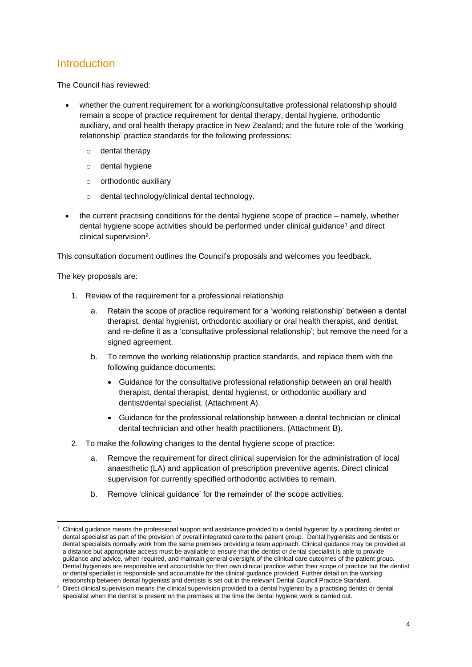# <span id="page-3-0"></span>**Introduction**

The Council has reviewed:

- whether the current requirement for a working/consultative professional relationship should remain a scope of practice requirement for dental therapy, dental hygiene, orthodontic auxiliary, and oral health therapy practice in New Zealand; and the future role of the 'working relationship' practice standards for the following professions:
	- o dental therapy
	- o dental hygiene
	- $\circ$  orthodontic auxiliary
	- o dental technology/clinical dental technology.
- the current practising conditions for the dental hygiene scope of practice namely, whether dental hygiene scope activities should be performed under clinical guidance<sup>1</sup> and direct clinical supervision<sup>2</sup>.

This consultation document outlines the Council's proposals and welcomes you feedback.

The key proposals are:

- 1. Review of the requirement for a professional relationship
	- a. Retain the scope of practice requirement for a 'working relationship' between a dental therapist, dental hygienist, orthodontic auxiliary or oral health therapist, and dentist, and re-define it as a 'consultative professional relationship'; but remove the need for a signed agreement.
	- b. To remove the working relationship practice standards, and replace them with the following guidance documents:
		- Guidance for the consultative professional relationship between an oral health therapist, dental therapist, dental hygienist, or orthodontic auxiliary and dentist/dental specialist. (Attachment A).
		- Guidance for the professional relationship between a dental technician or clinical dental technician and other health practitioners. (Attachment B).
- 2. To make the following changes to the dental hygiene scope of practice:
	- a. Remove the requirement for direct clinical supervision for the administration of local anaesthetic (LA) and application of prescription preventive agents. Direct clinical supervision for currently specified orthodontic activities to remain.
	- b. Remove 'clinical guidance' for the remainder of the scope activities.

<sup>1</sup> Clinical guidance means the professional support and assistance provided to a dental hygienist by a practising dentist or dental specialist as part of the provision of overall integrated care to the patient group. Dental hygienists and dentists or dental specialists normally work from the same premises providing a team approach. Clinical guidance may be provided at a distance but appropriate access must be available to ensure that the dentist or dental specialist is able to provide guidance and advice, when required, and maintain general oversight of the clinical care outcomes of the patient group. Dental hygienists are responsible and accountable for their own clinical practice within their scope of practice but the dentist or dental specialist is responsible and accountable for the clinical guidance provided. Further detail on the working relationship between dental hygienists and dentists is set out in the relevant Dental Council Practice Standard.

<sup>&</sup>lt;sup>2</sup> Direct clinical supervision means the clinical supervision provided to a dental hygienist by a practising dentist or dental specialist when the dentist is present on the premises at the time the dental hygiene work is carried out.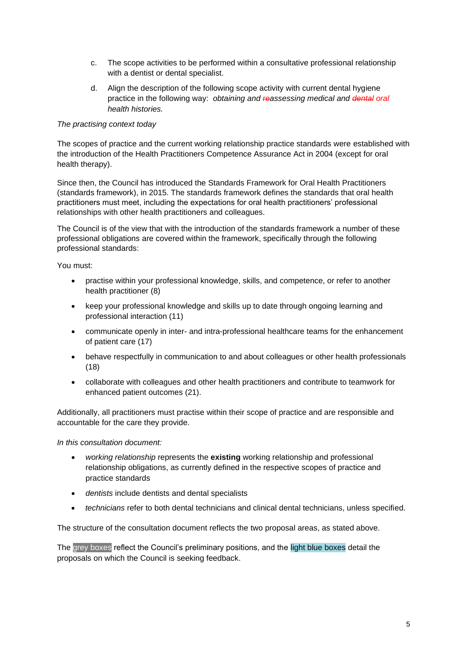- c. The scope activities to be performed within a consultative professional relationship with a dentist or dental specialist.
- d. Align the description of the following scope activity with current dental hygiene practice in the following way: *obtaining and reassessing medical and dental oral health histories.*

#### *The practising context today*

The scopes of practice and the current working relationship practice standards were established with the introduction of the Health Practitioners Competence Assurance Act in 2004 (except for oral health therapy).

Since then, the Council has introduced the [Standards Framework for Oral Health Practitioners](https://www.dcnz.org.nz/i-practise-in-new-zealand/standards-framework/) (standards framework), in 2015. The standards framework defines the standards that oral health practitioners must meet, including the expectations for oral health practitioners' professional relationships with other health practitioners and colleagues.

The Council is of the view that with the introduction of the [standards framework a](https://www.dcnz.org.nz/i-practise-in-new-zealand/standards-framework/) number of these professional obligations are covered within the framework, specifically through the following professional standards:

You must:

- practise within your professional knowledge, skills, and competence, or refer to another health practitioner (8)
- keep your professional knowledge and skills up to date through ongoing learning and professional interaction (11)
- communicate openly in inter- and intra-professional healthcare teams for the enhancement of patient care (17)
- behave respectfully in communication to and about colleagues or other health professionals (18)
- collaborate with colleagues and other health practitioners and contribute to teamwork for enhanced patient outcomes (21).

Additionally, all practitioners must practise within their scope of practice and are responsible and accountable for the care they provide.

#### *In this consultation document:*

- *working relationship* represents the **existing** working relationship and professional relationship obligations, as currently defined in the respective scopes of practice and practice standards
- *dentists* include dentists and dental specialists
- *technicians* refer to both dental technicians and clinical dental technicians, unless specified.

The structure of the consultation document reflects the two proposal areas, as stated above.

The grey boxes reflect the Council's preliminary positions, and the light blue boxes detail the proposals on which the Council is seeking feedback.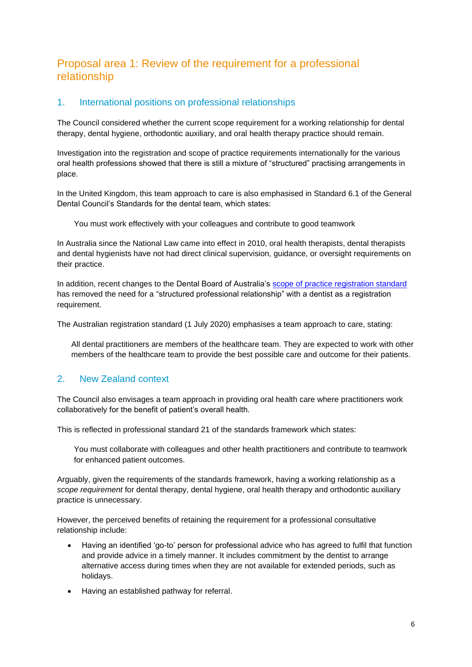# <span id="page-5-0"></span>Proposal area 1: Review of the requirement for a professional relationship

### <span id="page-5-1"></span>1. International positions on professional relationships

The Council considered whether the current scope requirement for a working relationship for dental therapy, dental hygiene, orthodontic auxiliary, and oral health therapy practice should remain.

Investigation into the registration and scope of practice requirements internationally for the various oral health professions showed that there is still a mixture of "structured" practising arrangements in place.

In the United Kingdom, this team approach to care is also emphasised in Standard 6.1 of the General Dental Council's Standards for the dental team, which states:

You must work effectively with your colleagues and contribute to good teamwork

In Australia since the National Law came into effect in 2010, oral health therapists, dental therapists and dental hygienists have not had direct clinical supervision, guidance, or oversight requirements on their practice.

In addition, recent changes to the Dental Board of Australia's scope of practice [registration standard](https://www.dentalboard.gov.au/Registration-Standards/Scope-of-practice-registration-standard.aspx) has removed the need for a "structured professional relationship" with a dentist as a registration requirement.

The Australian registration standard (1 July 2020) emphasises a team approach to care, stating:

All dental practitioners are members of the healthcare team. They are expected to work with other members of the healthcare team to provide the best possible care and outcome for their patients.

#### <span id="page-5-2"></span>2. New Zealand context

The Council also envisages a team approach in providing oral health care where practitioners work collaboratively for the benefit of patient's overall health.

This is reflected in professional standard 21 of the standards framework which states:

You must collaborate with colleagues and other health practitioners and contribute to teamwork for enhanced patient outcomes.

Arguably, given the requirements of the standards framework, having a working relationship as a *scope requirement* for dental therapy, dental hygiene, oral health therapy and orthodontic auxiliary practice is unnecessary.

However, the perceived benefits of retaining the requirement for a professional consultative relationship include:

- Having an identified 'go-to' person for professional advice who has agreed to fulfil that function and provide advice in a timely manner. It includes commitment by the dentist to arrange alternative access during times when they are not available for extended periods, such as holidays.
- Having an established pathway for referral.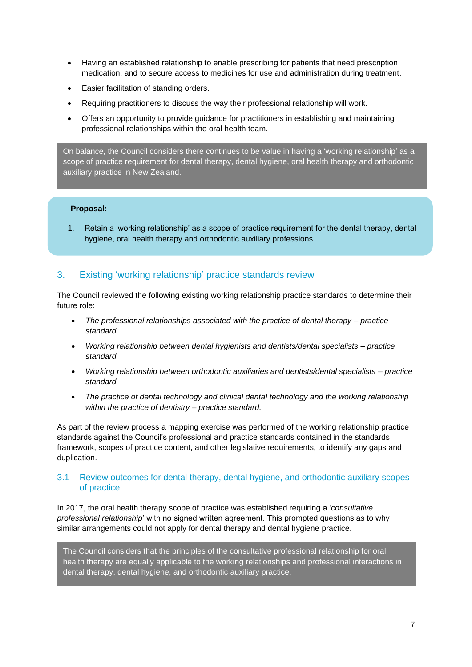- Having an established relationship to enable prescribing for patients that need prescription medication, and to secure access to medicines for use and administration during treatment.
- Easier facilitation of standing orders.
- Requiring practitioners to discuss the way their professional relationship will work.
- Offers an opportunity to provide guidance for practitioners in establishing and maintaining professional relationships within the oral health team.

On balance, the Council considers there continues to be value in having a 'working relationship' as a scope of practice requirement for dental therapy, dental hygiene, oral health therapy and orthodontic auxiliary practice in New Zealand.

#### **Proposal:**

1. Retain a 'working relationship' as a scope of practice requirement for the dental therapy, dental hygiene, oral health therapy and orthodontic auxiliary professions.

### <span id="page-6-0"></span>3. Existing 'working relationship' practice standards review

The Council reviewed the following existing working relationship practice standards to determine their future role:

- *The professional relationships associated with the practice of dental therapy – practice standard*
- *Working relationship between dental hygienists and dentists/dental specialists – practice standard*
- *Working relationship between orthodontic auxiliaries and dentists/dental specialists – practice standard*
- *The practice of dental technology and clinical dental technology and the working relationship within the practice of dentistry – practice standard.*

As part of the review process a mapping exercise was performed of the working relationship practice standards against the Council's professional and practice standards contained in the standards framework, scopes of practice content, and other legislative requirements, to identify any gaps and duplication.

#### <span id="page-6-1"></span>3.1 Review outcomes for dental therapy, dental hygiene, and orthodontic auxiliary scopes of practice

In 2017, the oral health therapy scope of practice was established requiring a '*consultative professional relationship*' with no signed written agreement. This prompted questions as to why similar arrangements could not apply for dental therapy and dental hygiene practice.

The Council considers that the principles of the consultative professional relationship for oral health therapy are equally applicable to the working relationships and professional interactions in dental therapy, dental hygiene, and orthodontic auxiliary practice.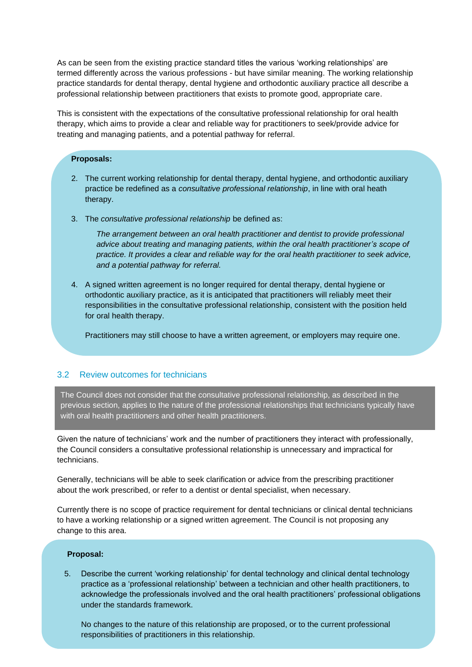As can be seen from the existing practice standard titles the various 'working relationships' are termed differently across the various professions - but have similar meaning. The working relationship practice standards for dental therapy, dental hygiene and orthodontic auxiliary practice all describe a professional relationship between practitioners that exists to promote good, appropriate care.

This is consistent with the expectations of the consultative professional relationship for oral health therapy, which aims to provide a clear and reliable way for practitioners to seek/provide advice for treating and managing patients, and a potential pathway for referral.

#### **Proposals:**

- 2. The current working relationship for dental therapy, dental hygiene, and orthodontic auxiliary practice be redefined as a *consultative professional relationship*, in line with oral heath therapy.
- 3. The *consultative professional relationship* be defined as:

*The arrangement between an oral health practitioner and dentist to provide professional advice about treating and managing patients, within the oral health practitioner's scope of practice. It provides a clear and reliable way for the oral health practitioner to seek advice, and a potential pathway for referral.*

4. A signed written agreement is no longer required for dental therapy, dental hygiene or orthodontic auxiliary practice, as it is anticipated that practitioners will reliably meet their responsibilities in the consultative professional relationship, consistent with the position held for oral health therapy.

Practitioners may still choose to have a written agreement, or employers may require one.

#### <span id="page-7-0"></span>3.2 Review outcomes for technicians

The Council does not consider that the consultative professional relationship, as described in the previous section, applies to the nature of the professional relationships that technicians typically have with oral health practitioners and other health practitioners.

Given the nature of technicians' work and the number of practitioners they interact with professionally, the Council considers a consultative professional relationship is unnecessary and impractical for technicians.

Generally, technicians will be able to seek clarification or advice from the prescribing practitioner about the work prescribed, or refer to a dentist or dental specialist, when necessary.

Currently there is no scope of practice requirement for dental technicians or clinical dental technicians to have a working relationship or a signed written agreement. The Council is not proposing any change to this area.

#### **Proposal:**

5. Describe the current 'working relationship' for dental technology and clinical dental technology practice as a 'professional relationship' between a technician and other health practitioners, to acknowledge the professionals involved and the oral health practitioners' professional obligations under the standards framework.

No changes to the nature of this relationship are proposed, or to the current professional responsibilities of practitioners in this relationship.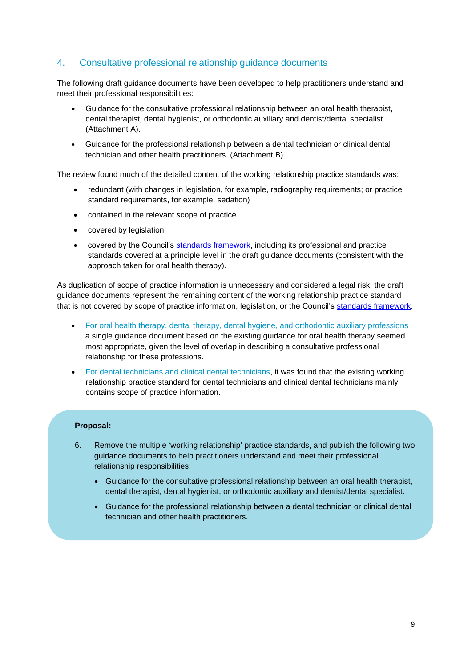# <span id="page-8-0"></span>4. Consultative professional relationship guidance documents

The following draft guidance documents have been developed to help practitioners understand and meet their professional responsibilities:

- Guidance for the consultative professional relationship between an oral health therapist, dental therapist, dental hygienist, or orthodontic auxiliary and dentist/dental specialist. (Attachment A).
- Guidance for the professional relationship between a dental technician or clinical dental technician and other health practitioners. (Attachment B).

The review found much of the detailed content of the working relationship practice standards was:

- redundant (with changes in legislation, for example, radiography requirements; or practice standard requirements, for example, sedation)
- contained in the relevant scope of practice
- covered by legislation
- covered by the Council's [standards framework,](https://www.dcnz.org.nz/i-practise-in-new-zealand/standards-framework/) including its professional and practice standards covered at a principle level in the draft guidance documents (consistent with the approach taken for oral health therapy).

As duplication of scope of practice information is unnecessary and considered a legal risk, the draft guidance documents represent the remaining content of the working relationship practice standard that is not covered by scope of practice information, legislation, or the Council's [standards framework.](https://www.dcnz.org.nz/i-practise-in-new-zealand/standards-framework/)

- For oral health therapy, dental therapy, dental hygiene, and orthodontic auxiliary professions a single guidance document based on the existing guidance for oral health therapy seemed most appropriate, given the level of overlap in describing a consultative professional relationship for these professions.
- For dental technicians and clinical dental technicians, it was found that the existing working relationship practice standard for dental technicians and clinical dental technicians mainly contains scope of practice information.

#### **Proposal:**

- 6. Remove the multiple 'working relationship' practice standards, and publish the following two guidance documents to help practitioners understand and meet their professional relationship responsibilities:
	- Guidance for the consultative professional relationship between an oral health therapist, dental therapist, dental hygienist, or orthodontic auxiliary and dentist/dental specialist.
	- Guidance for the professional relationship between a dental technician or clinical dental technician and other health practitioners.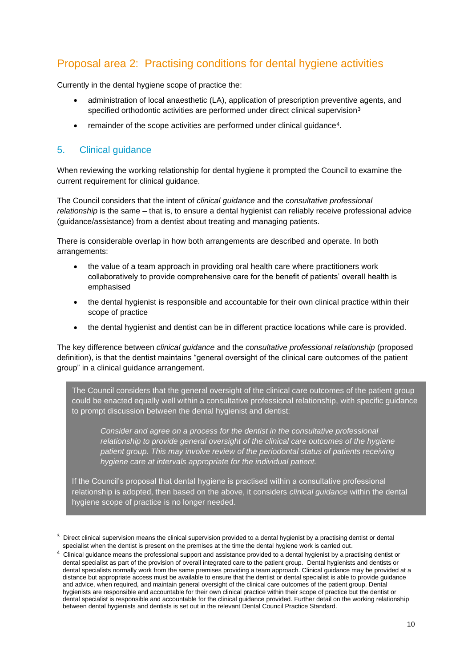# <span id="page-9-0"></span>Proposal area 2: Practising conditions for dental hygiene activities

Currently in the dental hygiene scope of practice the:

- administration of local anaesthetic (LA), application of prescription preventive agents, and specified orthodontic activities are performed under direct clinical supervision<sup>3</sup>
- remainder of the scope activities are performed under clinical guidance<sup>4</sup>.

# <span id="page-9-1"></span>5. Clinical guidance

When reviewing the working relationship for dental hygiene it prompted the Council to examine the current requirement for clinical guidance.

The Council considers that the intent of *clinical guidance* and the *consultative professional relationship* is the same – that is, to ensure a dental hygienist can reliably receive professional advice (guidance/assistance) from a dentist about treating and managing patients.

There is considerable overlap in how both arrangements are described and operate. In both arrangements:

- the value of a team approach in providing oral health care where practitioners work collaboratively to provide comprehensive care for the benefit of patients' overall health is emphasised
- the dental hygienist is responsible and accountable for their own clinical practice within their scope of practice
- the dental hygienist and dentist can be in different practice locations while care is provided.

The key difference between *clinical guidance* and the *consultative professional relationship* (proposed definition), is that the dentist maintains "general oversight of the clinical care outcomes of the patient group" in a clinical guidance arrangement.

The Council considers that the general oversight of the clinical care outcomes of the patient group could be enacted equally well within a consultative professional relationship, with specific guidance to prompt discussion between the dental hygienist and dentist:

*Consider and agree on a process for the dentist in the consultative professional relationship to provide general oversight of the clinical care outcomes of the hygiene patient group. This may involve review of the periodontal status of patients receiving hygiene care at intervals appropriate for the individual patient.*

If the Council's proposal that dental hygiene is practised within a consultative professional relationship is adopted, then based on the above, it considers *clinical guidance* within the dental hygiene scope of practice is no longer needed.

<sup>3</sup> Direct clinical supervision means the clinical supervision provided to a dental hygienist by a practising dentist or dental specialist when the dentist is present on the premises at the time the dental hygiene work is carried out.

<sup>&</sup>lt;sup>4</sup> Clinical guidance means the professional support and assistance provided to a dental hygienist by a practising dentist or dental specialist as part of the provision of overall integrated care to the patient group. Dental hygienists and dentists or dental specialists normally work from the same premises providing a team approach. Clinical guidance may be provided at a distance but appropriate access must be available to ensure that the dentist or dental specialist is able to provide guidance and advice, when required, and maintain general oversight of the clinical care outcomes of the patient group. Dental hygienists are responsible and accountable for their own clinical practice within their scope of practice but the dentist or dental specialist is responsible and accountable for the clinical guidance provided. Further detail on the working relationship between dental hygienists and dentists is set out in the relevant Dental Council Practice Standard.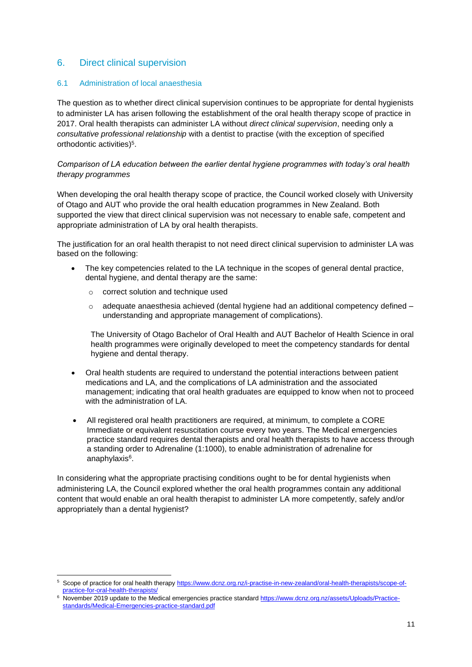### <span id="page-10-0"></span>6. Direct clinical supervision

#### <span id="page-10-1"></span>6.1 Administration of local anaesthesia

The question as to whether direct clinical supervision continues to be appropriate for dental hygienists to administer LA has arisen following the establishment of the oral health therapy scope of practice in 2017. Oral health therapists can administer LA without *direct clinical supervision*, needing only a *consultative professional relationship* with a dentist to practise (with the exception of specified orthodontic activities) 5 .

#### *Comparison of LA education between the earlier dental hygiene programmes with today's oral health therapy programmes*

When developing the oral health therapy scope of practice, the Council worked closely with University of Otago and AUT who provide the oral health education programmes in New Zealand. Both supported the view that direct clinical supervision was not necessary to enable safe, competent and appropriate administration of LA by oral health therapists.

The justification for an oral health therapist to not need direct clinical supervision to administer LA was based on the following:

- The key competencies related to the LA technique in the scopes of general dental practice, dental hygiene, and dental therapy are the same:
	- o correct solution and technique used
	- $\circ$  adequate anaesthesia achieved (dental hygiene had an additional competency defined  $$ understanding and appropriate management of complications).

The University of Otago Bachelor of Oral Health and AUT Bachelor of Health Science in oral health programmes were originally developed to meet the competency standards for dental hygiene and dental therapy.

- Oral health students are required to understand the potential interactions between patient medications and LA, and the complications of LA administration and the associated management; indicating that oral health graduates are equipped to know when not to proceed with the administration of LA.
- All registered oral health practitioners are required, at minimum, to complete a CORE Immediate or equivalent resuscitation course every two years. The Medical emergencies practice standard requires dental therapists and oral health therapists to have access through a standing order to Adrenaline (1:1000), to enable administration of adrenaline for anaphylaxis<sup>6</sup>.

In considering what the appropriate practising conditions ought to be for dental hygienists when administering LA, the Council explored whether the oral health programmes contain any additional content that would enable an oral health therapist to administer LA more competently, safely and/or appropriately than a dental hygienist?

<sup>5</sup> Scope of practice for oral health therap[y https://www.dcnz.org.nz/i-practise-in-new-zealand/oral-health-therapists/scope-of](https://www.dcnz.org.nz/i-practise-in-new-zealand/oral-health-therapists/scope-of-practice-for-oral-health-therapists/)[practice-for-oral-health-therapists/](https://www.dcnz.org.nz/i-practise-in-new-zealand/oral-health-therapists/scope-of-practice-for-oral-health-therapists/)

<sup>6</sup> November 2019 update to the Medical emergencies practice standar[d https://www.dcnz.org.nz/assets/Uploads/Practice](https://www.dcnz.org.nz/assets/Uploads/Practice-standards/Medical-Emergencies-practice-standard.pdf)[standards/Medical-Emergencies-practice-standard.pdf](https://www.dcnz.org.nz/assets/Uploads/Practice-standards/Medical-Emergencies-practice-standard.pdf)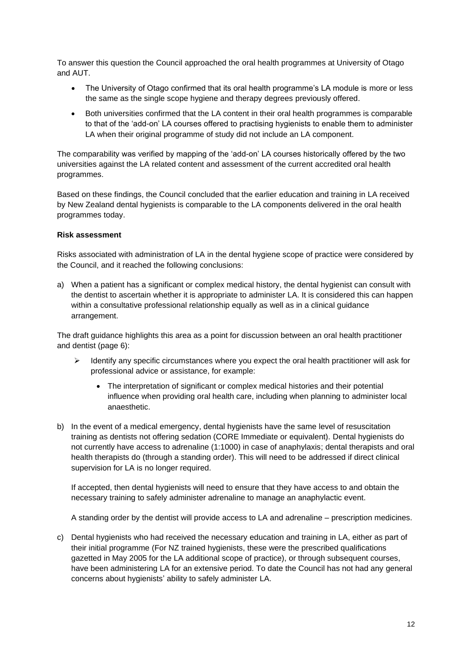To answer this question the Council approached the oral health programmes at University of Otago and AUT.

- The University of Otago confirmed that its oral health programme's LA module is more or less the same as the single scope hygiene and therapy degrees previously offered.
- Both universities confirmed that the LA content in their oral health programmes is comparable to that of the 'add-on' LA courses offered to practising hygienists to enable them to administer LA when their original programme of study did not include an LA component.

The comparability was verified by mapping of the 'add-on' LA courses historically offered by the two universities against the LA related content and assessment of the current accredited oral health programmes.

Based on these findings, the Council concluded that the earlier education and training in LA received by New Zealand dental hygienists is comparable to the LA components delivered in the oral health programmes today.

#### **Risk assessment**

Risks associated with administration of LA in the dental hygiene scope of practice were considered by the Council, and it reached the following conclusions:

a) When a patient has a significant or complex medical history, the dental hygienist can consult with the dentist to ascertain whether it is appropriate to administer LA. It is considered this can happen within a consultative professional relationship equally as well as in a clinical guidance arrangement.

The draft guidance highlights this area as a point for discussion between an oral health practitioner and dentist (page 6):

- $\triangleright$  Identify any specific circumstances where you expect the oral health practitioner will ask for professional advice or assistance, for example:
	- The interpretation of significant or complex medical histories and their potential influence when providing oral health care, including when planning to administer local anaesthetic.
- b) In the event of a medical emergency, dental hygienists have the same level of resuscitation training as dentists not offering sedation (CORE Immediate or equivalent). Dental hygienists do not currently have access to adrenaline (1:1000) in case of anaphylaxis; dental therapists and oral health therapists do (through a standing order). This will need to be addressed if direct clinical supervision for LA is no longer required.

If accepted, then dental hygienists will need to ensure that they have access to and obtain the necessary training to safely administer adrenaline to manage an anaphylactic event.

A standing order by the dentist will provide access to LA and adrenaline – prescription medicines.

c) Dental hygienists who had received the necessary education and training in LA, either as part of their initial programme (For NZ trained hygienists, these were the prescribed qualifications gazetted in May 2005 for the LA additional scope of practice), or through subsequent courses, have been administering LA for an extensive period. To date the Council has not had any general concerns about hygienists' ability to safely administer LA.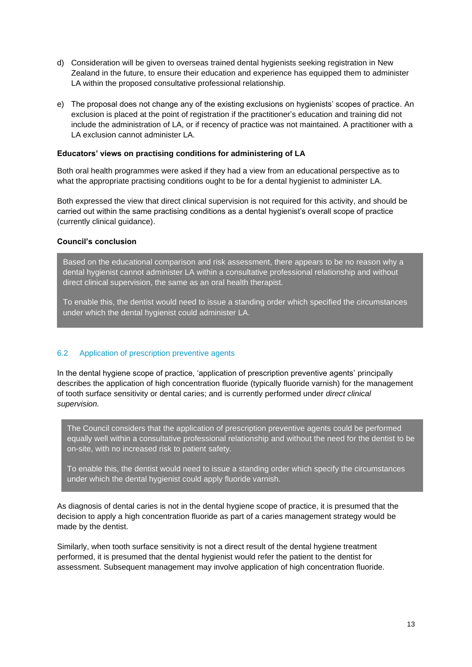- d) Consideration will be given to overseas trained dental hygienists seeking registration in New Zealand in the future, to ensure their education and experience has equipped them to administer LA within the proposed consultative professional relationship.
- e) The proposal does not change any of the existing exclusions on hygienists' scopes of practice. An exclusion is placed at the point of registration if the practitioner's education and training did not include the administration of LA, or if recency of practice was not maintained. A practitioner with a LA exclusion cannot administer LA.

#### **Educators' views on practising conditions for administering of LA**

Both oral health programmes were asked if they had a view from an educational perspective as to what the appropriate practising conditions ought to be for a dental hygienist to administer LA.

Both expressed the view that direct clinical supervision is not required for this activity, and should be carried out within the same practising conditions as a dental hygienist's overall scope of practice (currently clinical guidance).

#### **Council's conclusion**

Based on the educational comparison and risk assessment, there appears to be no reason why a dental hygienist cannot administer LA within a consultative professional relationship and without direct clinical supervision, the same as an oral health therapist.

To enable this, the dentist would need to issue a standing order which specified the circumstances under which the dental hygienist could administer LA.

#### <span id="page-12-0"></span>6.2 Application of prescription preventive agents

In the dental hygiene scope of practice, 'application of prescription preventive agents' principally describes the application of high concentration fluoride (typically fluoride varnish) for the management of tooth surface sensitivity or dental caries; and is currently performed under *direct clinical supervision.*

The Council considers that the application of prescription preventive agents could be performed equally well within a consultative professional relationship and without the need for the dentist to be on-site, with no increased risk to patient safety.

To enable this, the dentist would need to issue a standing order which specify the circumstances under which the dental hygienist could apply fluoride varnish.

As diagnosis of dental caries is not in the dental hygiene scope of practice, it is presumed that the decision to apply a high concentration fluoride as part of a caries management strategy would be made by the dentist.

Similarly, when tooth surface sensitivity is not a direct result of the dental hygiene treatment performed, it is presumed that the dental hygienist would refer the patient to the dentist for assessment. Subsequent management may involve application of high concentration fluoride.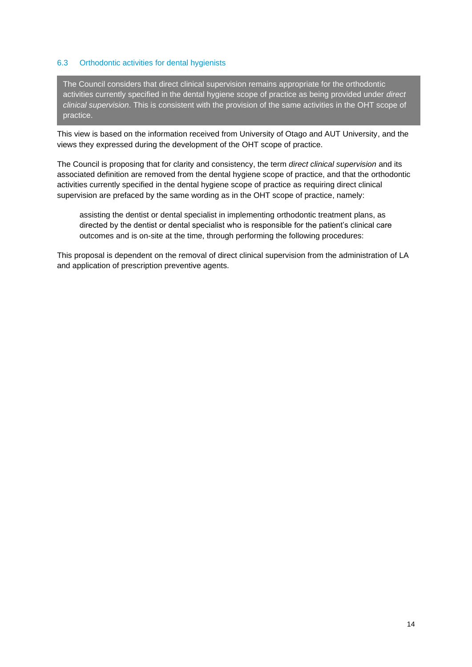#### <span id="page-13-0"></span>6.3 Orthodontic activities for dental hygienists

The Council considers that direct clinical supervision remains appropriate for the orthodontic activities currently specified in the dental hygiene scope of practice as being provided under *direct clinical supervision*. This is consistent with the provision of the same activities in the OHT scope of practice.

This view is based on the information received from University of Otago and AUT University, and the views they expressed during the development of the OHT scope of practice.

The Council is proposing that for clarity and consistency, the term *direct clinical supervision* and its associated definition are removed from the dental hygiene scope of practice, and that the orthodontic activities currently specified in the dental hygiene scope of practice as requiring direct clinical supervision are prefaced by the same wording as in the OHT scope of practice, namely:

assisting the dentist or dental specialist in implementing orthodontic treatment plans, as directed by the dentist or dental specialist who is responsible for the patient's clinical care outcomes and is on-site at the time, through performing the following procedures:

This proposal is dependent on the removal of direct clinical supervision from the administration of LA and application of prescription preventive agents.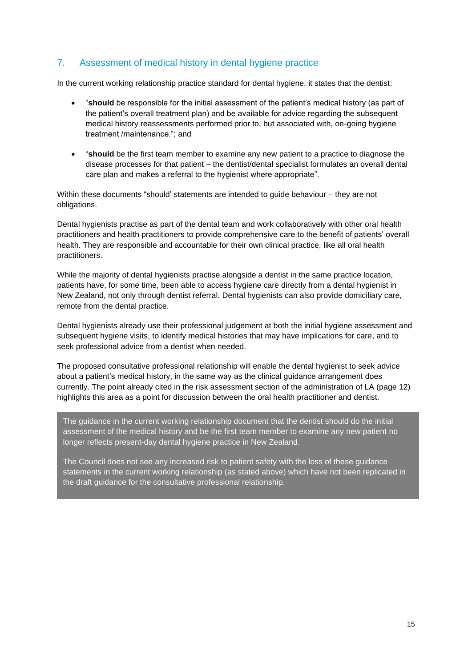## <span id="page-14-0"></span>7. Assessment of medical history in dental hygiene practice

In the current working relationship practice standard for dental hygiene, it states that the dentist:

- "**should** be responsible for the initial assessment of the patient's medical history (as part of the patient's overall treatment plan) and be available for advice regarding the subsequent medical history reassessments performed prior to, but associated with, on-going hygiene treatment /maintenance."; and
- "**should** be the first team member to examine any new patient to a practice to diagnose the disease processes for that patient – the dentist/dental specialist formulates an overall dental care plan and makes a referral to the hygienist where appropriate".

Within these documents "should' statements are intended to guide behaviour – they are not obligations.

Dental hygienists practise as part of the dental team and work collaboratively with other oral health practitioners and health practitioners to provide comprehensive care to the benefit of patients' overall health. They are responsible and accountable for their own clinical practice, like all oral health practitioners.

While the majority of dental hygienists practise alongside a dentist in the same practice location, patients have, for some time, been able to access hygiene care directly from a dental hygienist in New Zealand, not only through dentist referral. Dental hygienists can also provide domiciliary care, remote from the dental practice.

Dental hygienists already use their professional judgement at both the initial hygiene assessment and subsequent hygiene visits, to identify medical histories that may have implications for care, and to seek professional advice from a dentist when needed.

The proposed consultative professional relationship will enable the dental hygienist to seek advice about a patient's medical history, in the same way as the clinical guidance arrangement does currently. The point already cited in the risk assessment section of the administration of LA (page 12) highlights this area as a point for discussion between the oral health practitioner and dentist.

The guidance in the current working relationship document that the dentist should do the initial assessment of the medical history and be the first team member to examine any new patient no longer reflects present-day dental hygiene practice in New Zealand.

The Council does not see any increased risk to patient safety with the loss of these guidance statements in the current working relationship (as stated above) which have not been replicated in the draft guidance for the consultative professional relationship.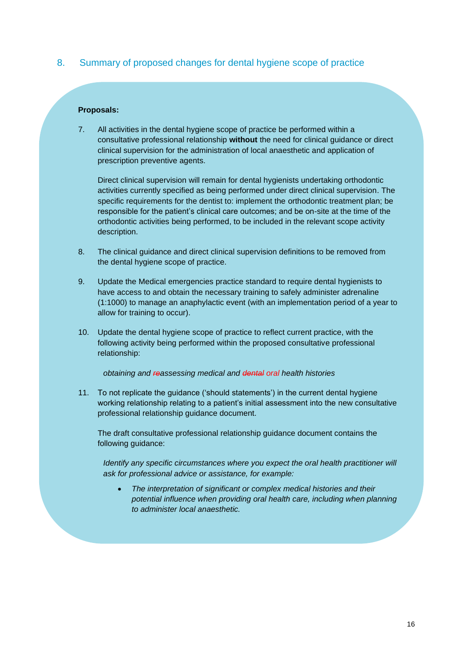### <span id="page-15-0"></span>8. Summary of proposed changes for dental hygiene scope of practice

#### **Proposals:**

7. All activities in the dental hygiene scope of practice be performed within a consultative professional relationship **without** the need for clinical guidance or direct clinical supervision for the administration of local anaesthetic and application of prescription preventive agents.

Direct clinical supervision will remain for dental hygienists undertaking orthodontic activities currently specified as being performed under direct clinical supervision. The specific requirements for the dentist to: implement the orthodontic treatment plan; be responsible for the patient's clinical care outcomes; and be on-site at the time of the orthodontic activities being performed, to be included in the relevant scope activity description.

- 8. The clinical guidance and direct clinical supervision definitions to be removed from the dental hygiene scope of practice.
- 9. Update the Medical emergencies practice standard to require dental hygienists to have access to and obtain the necessary training to safely administer adrenaline (1:1000) to manage an anaphylactic event (with an implementation period of a year to allow for training to occur).
- 10. Update the dental hygiene scope of practice to reflect current practice, with the following activity being performed within the proposed consultative professional relationship:

#### *obtaining and reassessing medical and dental oral health histories*

11. To not replicate the guidance ('should statements') in the current dental hygiene working relationship relating to a patient's initial assessment into the new consultative professional relationship guidance document.

The draft consultative professional relationship guidance document contains the following guidance:

*Identify any specific circumstances where you expect the oral health practitioner will ask for professional advice or assistance, for example:*

• *The interpretation of significant or complex medical histories and their potential influence when providing oral health care, including when planning to administer local anaesthetic.*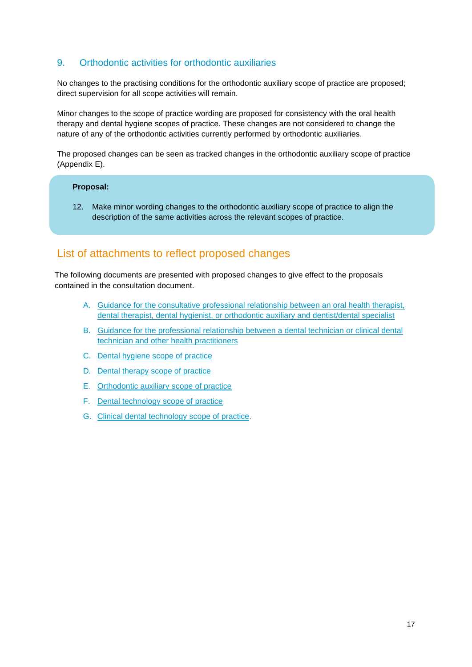## <span id="page-16-0"></span>9. Orthodontic activities for orthodontic auxiliaries

No changes to the practising conditions for the orthodontic auxiliary scope of practice are proposed; direct supervision for all scope activities will remain.

Minor changes to the scope of practice wording are proposed for consistency with the oral health therapy and dental hygiene scopes of practice. These changes are not considered to change the nature of any of the orthodontic activities currently performed by orthodontic auxiliaries.

The proposed changes can be seen as tracked changes in the orthodontic auxiliary scope of practice (Appendix E).

#### **Proposal:**

12. Make minor wording changes to the orthodontic auxiliary scope of practice to align the description of the same activities across the relevant scopes of practice.

# <span id="page-16-1"></span>List of attachments to reflect proposed changes

The following documents are presented with proposed changes to give effect to the proposals contained in the consultation document.

- A. [Guidance for the consultative professional relationship between an oral health therapist,](https://dcnz.org.nz/assets/Uploads/Consultations/2020/Prof-relationships/AppA-Updated-draft-Guidance-for-consultative-professional-relationship-for-OHPs.pdf)  [dental therapist, dental hygienist, or orthodontic auxiliary and dentist/dental specialist](https://dcnz.org.nz/assets/Uploads/Consultations/2020/Prof-relationships/AppA-Updated-draft-Guidance-for-consultative-professional-relationship-for-OHPs.pdf)
- B. [Guidance for the professional relationship between a dental technician or clinical dental](https://dcnz.org.nz/assets/Uploads/Consultations/2020/Prof-relationships/AppB-Guidance-technicians-consult-draft.pdf)  [technician and other health practitioners](https://dcnz.org.nz/assets/Uploads/Consultations/2020/Prof-relationships/AppB-Guidance-technicians-consult-draft.pdf)
- C. [Dental hygiene scope of practice](https://dcnz.org.nz/assets/Uploads/Consultations/2020/Prof-relationships/AppC-Scope-of-practice-for-dental-hygieneSep20.pdf)
- D. Dental therapy [scope of practice](https://dcnz.org.nz/assets/Uploads/Consultations/2020/Prof-relationships/AppD-Scope-of-practice-for-dental-therapySep20.pdf)
- E. [Orthodontic auxiliary scope of practice](https://dcnz.org.nz/assets/Uploads/Consultations/2020/Prof-relationships/AppE-Scope-of-practice-for-orthodontic-auxiliary-practiceSep20.pdf)
- F. [Dental technology](https://dcnz.org.nz/assets/Uploads/Consultations/2020/Prof-relationships/AppF-Scope-of-practice-for-dental-technologySep20.pdf) scope of practice
- G. [Clinical dental technology](https://dcnz.org.nz/assets/Uploads/Consultations/2020/Prof-relationships/AppG-Scope-of-practice-for-clinical-dental-technologySep20.pdf) scope of practice.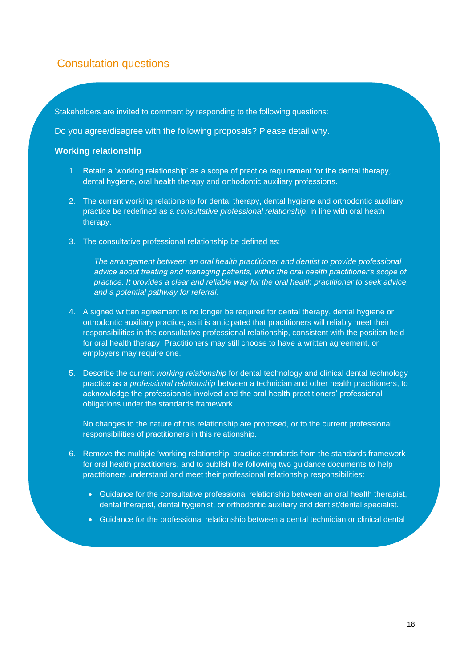# Consultation questions

<span id="page-17-0"></span>Stakeholders are invited to comment by responding to the following questions:

Do you agree/disagree with the following proposals? Please detail why.

#### **Working relationship**

- 1. Retain a 'working relationship' as a scope of practice requirement for the dental therapy, dental hygiene, oral health therapy and orthodontic auxiliary professions.
- 2. The current working relationship for dental therapy, dental hygiene and orthodontic auxiliary practice be redefined as a *consultative professional relationship*, in line with oral heath therapy.
- 3. The consultative professional relationship be defined as:

*The arrangement between an oral health practitioner and dentist to provide professional advice about treating and managing patients, within the oral health practitioner's scope of practice. It provides a clear and reliable way for the oral health practitioner to seek advice, and a potential pathway for referral.*

- 4. A signed written agreement is no longer be required for dental therapy, dental hygiene or orthodontic auxiliary practice, as it is anticipated that practitioners will reliably meet their responsibilities in the consultative professional relationship, consistent with the position held for oral health therapy. Practitioners may still choose to have a written agreement, or employers may require one.
- 5. Describe the current *working relationship* for dental technology and clinical dental technology practice as a *professional relationship* between a technician and other health practitioners, to acknowledge the professionals involved and the oral health practitioners' professional obligations under the standards framework.

No changes to the nature of this relationship are proposed, or to the current professional responsibilities of practitioners in this relationship.

- 6. Remove the multiple 'working relationship' practice standards from the standards framework for oral health practitioners, and to publish the following two guidance documents to help practitioners understand and meet their professional relationship responsibilities:
	- Guidance for the consultative professional relationship between an oral health therapist, dental therapist, dental hygienist, or orthodontic auxiliary and dentist/dental specialist.
	- Guidance for the professional relationship between a dental technician or clinical dental